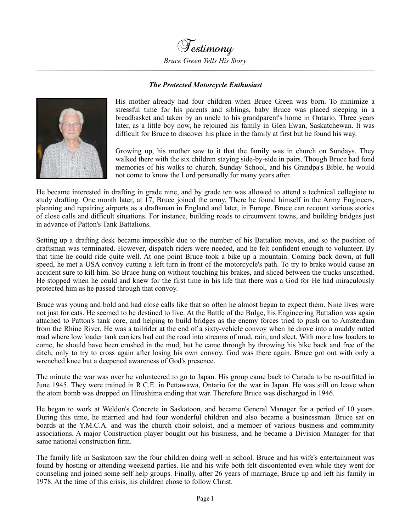

## *The Protected Motorcycle Enthusiast*



His mother already had four children when Bruce Green was born. To minimize a stressful time for his parents and siblings, baby Bruce was placed sleeping in a breadbasket and taken by an uncle to his grandparent's home in Ontario. Three years later, as a little boy now, he rejoined his family in Glen Ewan, Saskatchewan. It was difficult for Bruce to discover his place in the family at first but he found his way.

Growing up, his mother saw to it that the family was in church on Sundays. They walked there with the six children staying side-by-side in pairs. Though Bruce had fond memories of his walks to church, Sunday School, and his Grandpa's Bible, he would not come to know the Lord personally for many years after.

He became interested in drafting in grade nine, and by grade ten was allowed to attend a technical collegiate to study drafting. One month later, at 17, Bruce joined the army. There he found himself in the Army Engineers, planning and repairing airports as a draftsman in England and later, in Europe. Bruce can recount various stories of close calls and difficult situations. For instance, building roads to circumvent towns, and building bridges just in advance of Patton's Tank Battalions.

Setting up a drafting desk became impossible due to the number of his Battalion moves, and so the position of draftsman was terminated. However, dispatch riders were needed, and he felt confident enough to volunteer. By that time he could ride quite well. At one point Bruce took a bike up a mountain. Coming back down, at full speed, he met a USA convoy cutting a left turn in front of the motorcycle's path. To try to brake would cause an accident sure to kill him. So Bruce hung on without touching his brakes, and sliced between the trucks unscathed. He stopped when he could and knew for the first time in his life that there was a God for He had miraculously protected him as he passed through that convoy.

Bruce was young and bold and had close calls like that so often he almost began to expect them. Nine lives were not just for cats. He seemed to be destined to live. At the Battle of the Bulge, his Engineering Battalion was again attached to Patton's tank core, and helping to build bridges as the enemy forces tried to push on to Amsterdam from the Rhine River. He was a tailrider at the end of a sixty-vehicle convoy when he drove into a muddy rutted road where low loader tank carriers had cut the road into streams of mud, rain, and sleet. With more low loaders to come, he should have been crushed in the mud, but he came through by throwing his bike back and free of the ditch, only to try to cross again after losing his own convoy. God was there again. Bruce got out with only a wrenched knee but a deepened awareness of God's presence.

The minute the war was over he volunteered to go to Japan. His group came back to Canada to be re-outfitted in June 1945. They were trained in R.C.E. in Pettawawa, Ontario for the war in Japan. He was still on leave when the atom bomb was dropped on Hiroshima ending that war. Therefore Bruce was discharged in 1946.

He began to work at Weldon's Concrete in Saskatoon, and became General Manager for a period of 10 years. During this time, he married and had four wonderful children and also became a businessman. Bruce sat on boards at the Y.M.C.A. and was the church choir soloist, and a member of various business and community associations. A major Construction player bought out his business, and he became a Division Manager for that same national construction firm.

The family life in Saskatoon saw the four children doing well in school. Bruce and his wife's entertainment was found by hosting or attending weekend parties. He and his wife both felt discontented even while they went for counseling and joined some self help groups. Finally, after 26 years of marriage, Bruce up and left his family in 1978. At the time of this crisis, his children chose to follow Christ.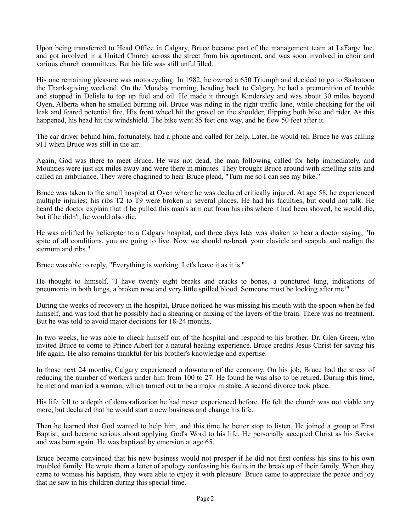Upon being transferred to Head Office in Calgary, Bruce became part of the management team at LaFarge Inc. and got involved in a United Church across the street from his apartment, and was soon involved in choir and various church committees. But his life was still unfulfilled.

His one remaining pleasure was motorcycling. In 1982, he owned a 650 Triumph and decided to go to Saskatoon the Thanksgiving weekend. On the Monday morning, heading back to Calgary, he had a premonition of trouble and stopped in Delisle to top up fuel and oil. He made it through Kindersley and was about 30 miles beyond Oyen, Alberta when he smelled burning oil. Bruce was riding in the right traffic lane, while checking for the oil leak and feared potential fire. His front wheel hit the gravel on the shoulder, flipping both bike and rider. As this happened, his head hit the windshield. The bike went 85 feet one way, and he flew 50 feet after it.

The car driver behind him, fortunately, had a phone and called for help. Later, he would tell Bruce he was calling 911 when Bruce was still in the air.

Again, God was there to meet Bruce. He was not dead, the man following called for help immediately, and Mounties were just six miles away and were there in minutes. They brought Bruce around with smelling salts and called an ambulance. They were chagrined to hear Bruce plead, "Turn me so I can see my bike."

Bruce was taken to the small hospital at Oyen where he was declared critically injured. At age 58, he experienced multiple injuries; his ribs T2 to T9 were broken in several places. He had his faculties, but could not talk. He heard the doctor explain that if he pulled this man's arm out from his ribs where it had been shoved, he would die, but if he didn't, he would also die.

He was airlifted by helicopter to a Calgary hospital, and three days later was shaken to hear a doctor saying, "In spite of all conditions, you are going to live. Now we should re-break your clavicle and scapula and realign the sternum and ribs."

Bruce was able to reply, "Everything is working. Let's leave it as it is."

He thought to himself, "I have twenty eight breaks and cracks to bones, a punctured lung, indications of pneumonia in both lungs, a broken nose and very little spilled blood. Someone must be looking after me!"

During the weeks of recovery in the hospital, Bruce noticed he was missing his mouth with the spoon when he fed himself, and was told that he possibly had a shearing or mixing of the layers of the brain. There was no treatment. But he was told to avoid major decisions for 18-24 months.

In two weeks, he was able to check himself out of the hospital and respond to his brother, Dr. Glen Green, who invited Bruce to come to Prince Albert for a natural healing experience. Bruce credits Jesus Christ for saving his life again. He also remains thankful for his brother's knowledge and expertise.

In those next 24 months, Calgary experienced a downturn of the economy. On his job, Bruce had the stress of reducing the number of workers under him from 100 to 27. He found he was also to be retired. During this time, he met and married a woman, which turned out to be a major mistake. A second divorce took place.

His life fell to a depth of demoralization he had never experienced before. He felt the church was not viable any more, but declared that he would start a new business and change his life.

Then he learned that God wanted to help him, and this time he better stop to listen. He joined a group at First Baptist, and became serious about applying God's Word to his life. He personally accepted Christ as his Savior and was born again. He was baptized by emersion at age 65.

Bruce became convinced that his new business would not prosper if he did not first confess his sins to his own troubled family. He wrote them a letter of apology confessing his faults in the break up of their family. When they came to witness his baptism, they were able to enjoy it with pleasure. Bruce came to appreciate the peace and joy that he saw in his children during this special time.